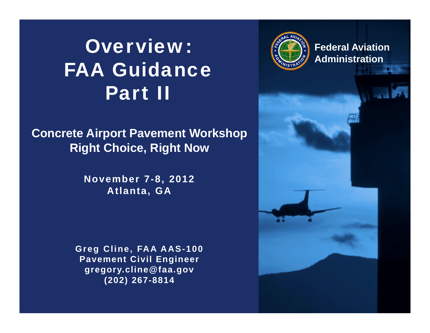# Overview:FAA GuidancePart II

#### **Concrete Airport Pavement Workshop Right Choice, Right Now**

**November 7-8, 2012 Atlanta, GA**

**Greg Cline, FAA AAS-100 Pavement Civil Engineer gregory.cline@faa.gov (202) 267-8814**



**Federal Aviation Administration**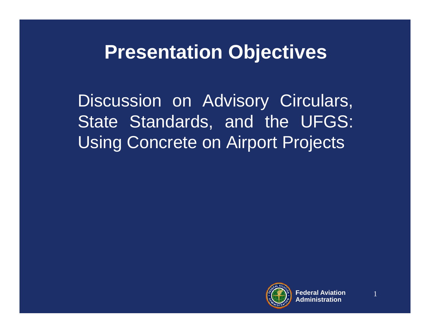### **Presentation Objectives**

Discussion on Advisory Circulars, State Standards, and the UFGS: Using Concrete on Airport Projects

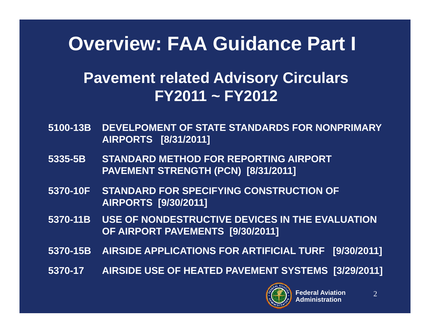### **Overview: FAA Guidance Part I**

#### **Pavement related Advisory Circulars FY2011 ~ FY2012**

- **5100-13B DEVELPOMENT OF STATE STANDARDS FOR NONPRIMARY AIRPORTS [8/31/2011]**
- **5335-5B STANDARD METHOD FOR REPORTING AIRPORT PAVEMENT STRENGTH (PCN) [8/31/2011]**
- **5370-10F STANDARD FOR SPECIFYING CONSTRUCTION OF AIRPORTS [9/30/2011]**
- **5370-11B USE OF NONDESTRUCTIVE DEVICES IN THE EVALUATION OF AIRPORT PAVEMENTS [9/30/2011]**
- **5370-15B AIRSIDE APPLICATIONS FOR ARTIFICIAL TURF [9/30/2011]**
- **5370-17 AIRSIDE USE OF HEATED PAVEMENT SYSTEMS [3/29/2011]**

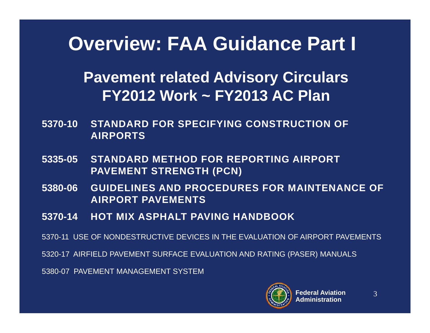### **Overview: FAA Guidance Part I**

#### **Pavement related Advisory Circulars FY2012 Work ~ FY2013 AC Plan**

- **5370-10 STANDARD FOR SPECIFYING CONSTRUCTION OF AIRPORTS**
- **5335-05 STANDARD METHOD FOR REPORTING AIRPORT PAVEMENT STRENGTH (PCN)**
- **5380-06 GUIDELINES AND PROCEDURES FOR MAINTENANCE OF AIRPORT PAVEMENTS**
- **5370-14 HOT MIX ASPHALT PAVING HANDBOOK**

5370-11 USE OF NONDESTRUCTIVE DEVICES IN THE EVALUATION OF AIRPORT PAVEMENTS

5320-17 AIRFIELD PAVEMENT SURFACE EVALUATION AND RATING (PASER) MANUALS

5380-07 PAVEMENT MANAGEMENT SYSTEM

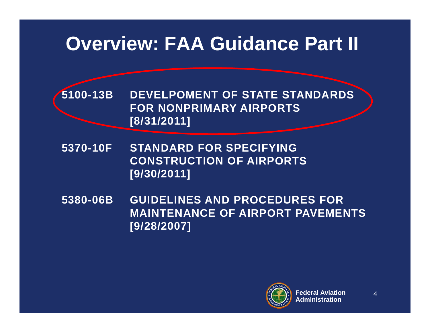### **Overview: FAA Guidance Part II**

**5100-13B DEVELPOMENT OF STATE STANDARDS FOR NONPRIMARY AIRPORTS [8/31/2011]**

- **5370-10F STANDARD FOR SPECIFYING CONSTRUCTION OF AIRPORTS [9/30/2011]**
- **5380-06B GUIDELINES AND PROCEDURES FOR MAINTENANCE OF AIRPORT PAVEMENTS [9/28/2007]**

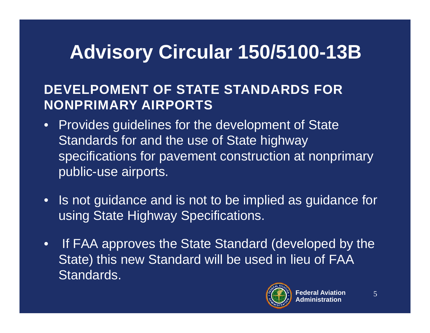# **Advisory Circular 150/5100-13B**

#### **DEVELPOMENT OF STATE STANDARDS FOR NONPRIMARY AIRPORTS**

- •Provides guidelines for the development of State Standards for and the use of State highway specifications for pavement construction at nonprimary public-use airports.
- $\bullet$  Is not guidance and is not to be implied as guidance for using State Highway Specifications.
- • If FAA approves the State Standard (developed by the State) this new Standard will be used in lieu of FAA Standards.

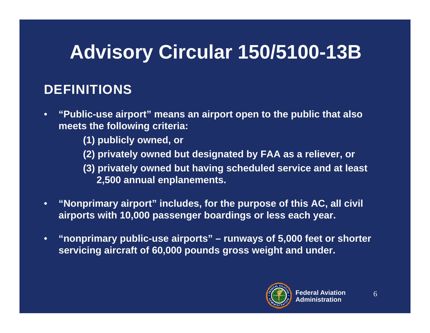# **Advisory Circular 150/5100-13B**

#### **DEFINITIONS**

- $\bullet$  **"Public-use airport" means an airport open to the public that also meets the following criteria:** 
	- **(1) publicly owned, or**
	- **(2) privately owned but designated by FAA as a reliever, or**
	- **(3) privately owned but having scheduled service and at least 2,500 annual enplanements.**
- $\bullet$  **"Nonprimary airport" includes, for the purpose of this AC, all civil airports with 10,000 passenger boardings or less each year.**
- • **"nonprimary public-use airports" – runways of 5,000 feet or shorter servicing aircraft of 60,000 pounds gross weight and under.**

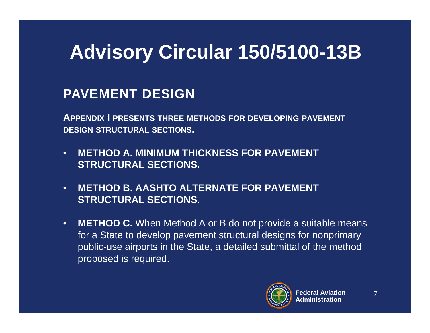# **Advisory Circular 150/5100-13B**

#### **PAVEMENT DESIGN**

**APPENDIX I PRESENTS THREE METHODS FOR DEVELOPING PAVEMENT DESIGN STRUCTURAL SECTIONS.**

- • **METHOD A. MINIMUM THICKNESS FOR PAVEMENT STRUCTURAL SECTIONS.**
- • **METHOD B. AASHTO ALTERNATE FOR PAVEMENT STRUCTURAL SECTIONS.**
- • **METHOD C.** When Method A or B do not provide a suitable means for a State to develop pavement structural designs for nonprimary public-use airports in the State, a detailed submittal of the method proposed is required.

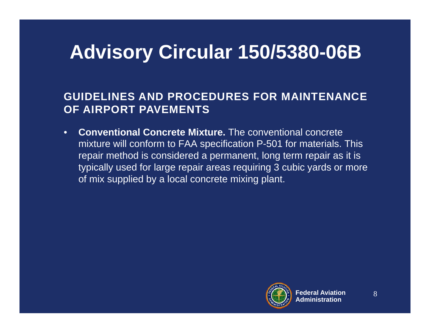# **Advisory Circular 150/5380-06B**

#### **GUIDELINES AND PROCEDURES FOR MAINTENANCE OF AIRPORT PAVEMENTS**

• **Conventional Concrete Mixture.** The conventional concrete mixture will conform to FAA specification P-501 for materials. This repair method is considered a permanent, long term repair as it is typically used for large repair areas requiring 3 cubic yards or more of mix supplied by a local concrete mixing plant.

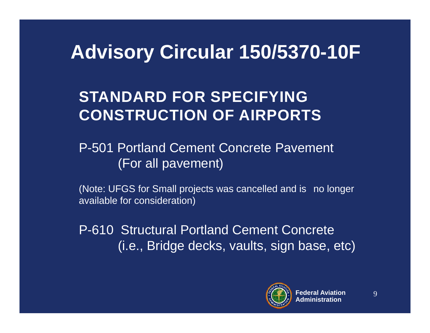### **Advisory Circular 150/5370-10F**

### **STANDARD FOR SPECIFYING CONSTRUCTION OF AIRPORTS**

P-501 Portland Cement Concrete Pavement (For all pavement)

(Note: UFGS for Small projects was cancelled and is no longer available for consideration)

P-610 Structural Portland Cement Concrete (i.e., Bridge decks, vaults, sign base, etc)